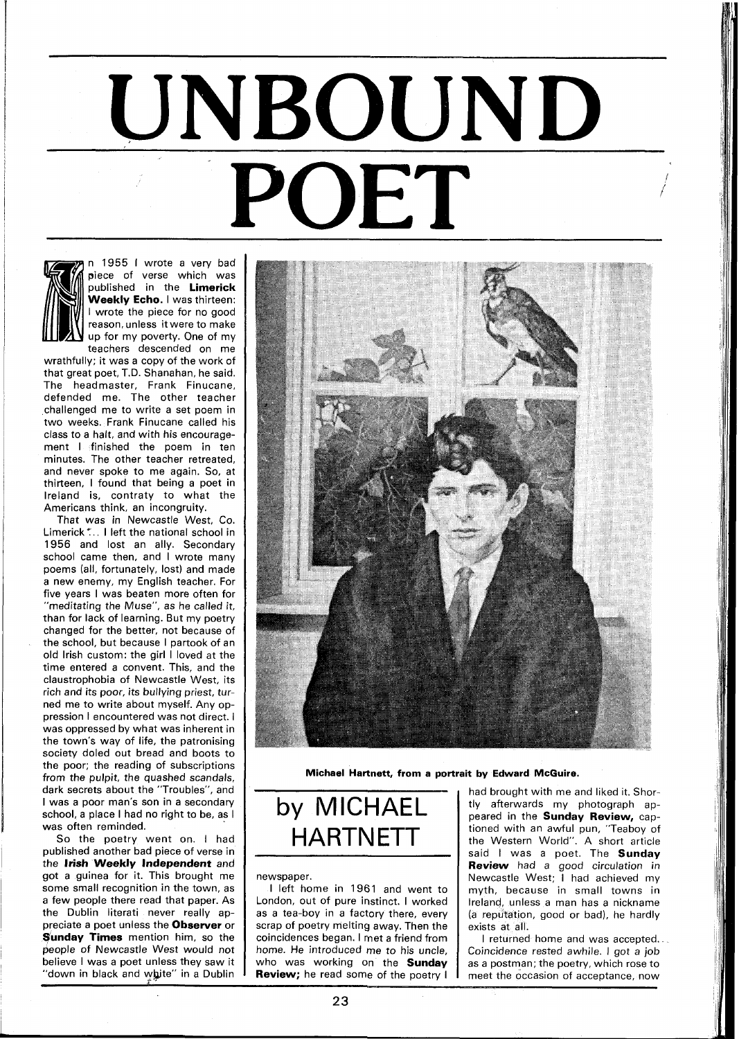## UNBOUND<br>POET



1955 I wrote a very bad piece of verse which was published in the **Limerick Weekly Echo.** I was thirteen: I wrote the piece for no good reason, unless it were to make up for my poverty. One of my teachers descended on me

wrathfully; it was a copy of the work of that great poet, T.D. Shanahan, he said. The headmaster, Frank Finucane, defended me. The other teacher challenged me to write a set poem in two weeks. Frank Finucane called his class to a halt, and with his encouragement I finished the poem in ten minutes. The other teacher retreated, and never spoke to me again. So, at thirteen, I found that being a poet in Ireland is, contraty to what the Americans think, an incongruity.

That was in Newcastle West, Co. Limerick  $\dot{\cdot}$ .. I left the national school in 1956 and lost an ally. Secondary school came then, and I wrote many poems (all, fortunately, lost) and made a new enemy, my English teacher. For five years I was beaten more often for "meditating the Muse", as he called it, than for lack of learning. But my poetry changed for the better, not because of the school, but because I partook of an old lrish custom: the girl I loved at the time entered a convent. This, and the claustrophobia of Newcastle West, its rich and its poor, its bullying priest, turned me to write about myself. Any oppression I encountered was not direct. I was oppressed by what was inherent in the town's way of life, the patronising society doled out bread and boots to the poor; the reading of subscriptions from the pulpit, the quashed scandals, dark secrets about the "Troubles", and I was a poor man's son in a secondary school, a place I had no right to be, as I was often reminded.

So the poetry went on. I had published another bad piece of verse in the **lrish Weekly Independent** and got a guinea for it. This brought me some small recognition in the town, as a few people there read that paper. As the Dublin literati never really appreciate a poet unless the **Observer** or **S'unday Times** mention him, so the people of Newcastle West would not believe I was a poet unless they saw it "down in black and white" in a Dublin



**Michael Hartnett, from a portrait by Edward McGuire.** 

by MICHAEL **HARTNETT** 

## newspaper.

I left home in 1961 and went to London, out of pure instinct. I worked as a tea-boy in a factory there, every scrap of poetry melting away. Then the coincidences began. I met a friend from home. He introduced me to his uncle, who was working on the **Sunday Review;** he read some of the poetry I

had brought with me and liked it. Shortly afterwards my photograph appeared in the **Sunday Review,** captioned with an awful pun, "Teaboy of the Western World". A short article said I was a poet. The **Sunday Review** had a good circulation in Newcastle West; I had achieved my myth, because in small towns in Ireland, unless a man has a nickname (a reputation, good or bad), he hardly exists at all.

I returned home and was accepted. Coincidence rested awhile. I got a job as a postman; the poetry, which rose to meet the occasion of acceptance, now